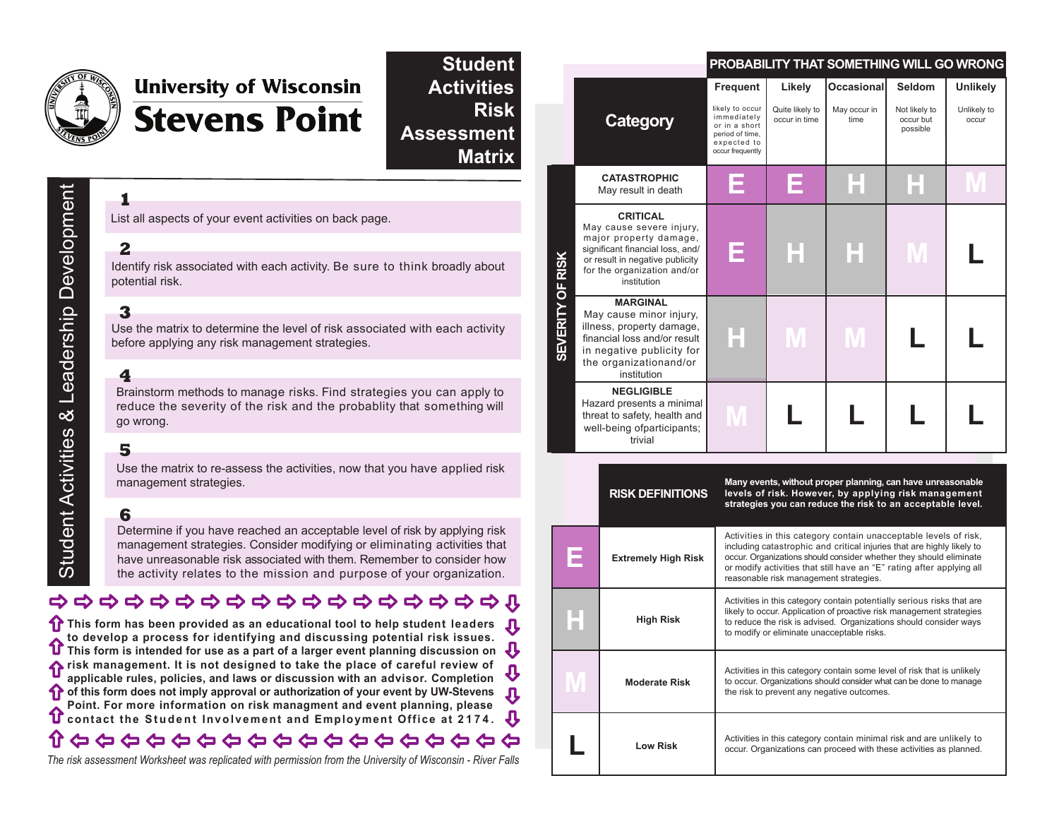

# **University of Wisconsin Stevens Point**

**Risk Assessment Matrix Student Activities**

## List all aspects of your event activities on back page. **2**

**1**

Identify risk associated with each activity. Be sure to think broadly about potential risk.

### **3**

Use the matrix to determine the level of risk associated with each activity before applying any risk management strategies.

#### **4**

Brainstorm methods to manage risks. Find strategies you can apply to reduce the severity of the risk and the probablity that something will go wrong.

#### **5**

Use the matrix to re-assess the activities, now that you have applied risk management strategies.

#### **6**

Determine if you have reached an acceptable level of risk by applying risk management strategies. Consider modifying or eliminating activities that have unreasonable risk associated with them. Remember to consider how the activity relates to the mission and purpose of your organization.

## 00000000000000000000

**This form has been provided as an educational tool to help student leaders to develop a process for identifying and discussing potential risk issues. This form is intended for use as a part of a larger event planning discussion on**  $\bf{J}$ **f** risk management. It is not designed to take the place of careful review of **applicable rules, policies, and laws or discussion with an advisor. Completion of this form does not imply approval or authorization of your event by UW-Stevens Point. For more information on risk managment and event planning, please C** contact the Student Involvement and Employment Office at 2174. Л

#### 介 ひひひひひりひひひひひひかいひひひ

*The risk assessment Worksheet was replicated with permission from the University of Wisconsin - River Falls*

|                         |                                                                                                                                                                                            | <b>PROBABILITY THAT SOMETHING WILL GO WRONG</b>                                                                          |                                            |                                    |                                                  |                                  |
|-------------------------|--------------------------------------------------------------------------------------------------------------------------------------------------------------------------------------------|--------------------------------------------------------------------------------------------------------------------------|--------------------------------------------|------------------------------------|--------------------------------------------------|----------------------------------|
|                         | Category                                                                                                                                                                                   | <b>Frequent</b><br>likely to occur<br>immediately<br>or in a short<br>period of time,<br>expected to<br>occur frequently | Likely<br>Quite likely to<br>occur in time | Occasional<br>May occur in<br>time | Seldom<br>Not likely to<br>occur but<br>possible | Unlikely<br>Unlikely to<br>occur |
| <b>SEVERITY OF RISK</b> | <b>CATASTROPHIC</b><br>May result in death                                                                                                                                                 |                                                                                                                          |                                            |                                    |                                                  |                                  |
|                         | <b>CRITICAL</b><br>May cause severe injury,<br>major property damage,<br>significant financial loss, and/<br>or result in negative publicity<br>for the organization and/or<br>institution | F                                                                                                                        |                                            |                                    |                                                  |                                  |
|                         | <b>MARGINAL</b><br>May cause minor injury,<br>illness, property damage,<br>financial loss and/or result<br>in negative publicity for<br>the organizationand/or<br>institution              |                                                                                                                          |                                            |                                    |                                                  |                                  |
|                         | <b>NEGLIGIBLE</b><br>Hazard presents a minimal<br>threat to safety, health and<br>well-being ofparticipants;<br>trivial                                                                    |                                                                                                                          |                                            |                                    |                                                  |                                  |

| <b>RISK DEFINITIONS</b>                                                                                                                                                                                             | Many events, without proper planning, can have unreasonable<br>levels of risk. However, by applying risk management<br>strategies you can reduce the risk to an acceptable level.                                                                                                                                                   |
|---------------------------------------------------------------------------------------------------------------------------------------------------------------------------------------------------------------------|-------------------------------------------------------------------------------------------------------------------------------------------------------------------------------------------------------------------------------------------------------------------------------------------------------------------------------------|
| <b>Extremely High Risk</b>                                                                                                                                                                                          | Activities in this category contain unacceptable levels of risk,<br>including catastrophic and critical injuries that are highly likely to<br>occur. Organizations should consider whether they should eliminate<br>or modify activities that still have an "E" rating after applying all<br>reasonable risk management strategies. |
| <b>High Risk</b>                                                                                                                                                                                                    | Activities in this category contain potentially serious risks that are<br>likely to occur. Application of proactive risk management strategies<br>to reduce the risk is advised. Organizations should consider ways<br>to modify or eliminate unacceptable risks.                                                                   |
| Activities in this category contain some level of risk that is unlikely<br>to occur. Organizations should consider what can be done to manage<br><b>Moderate Risk</b><br>the risk to prevent any negative outcomes. |                                                                                                                                                                                                                                                                                                                                     |
| Low Risk                                                                                                                                                                                                            | Activities in this category contain minimal risk and are unlikely to<br>occur. Organizations can proceed with these activities as planned.                                                                                                                                                                                          |